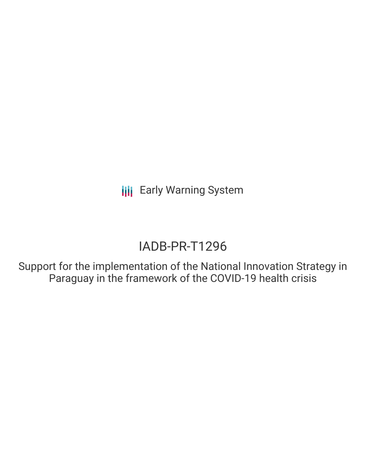**III** Early Warning System

# IADB-PR-T1296

Support for the implementation of the National Innovation Strategy in Paraguay in the framework of the COVID-19 health crisis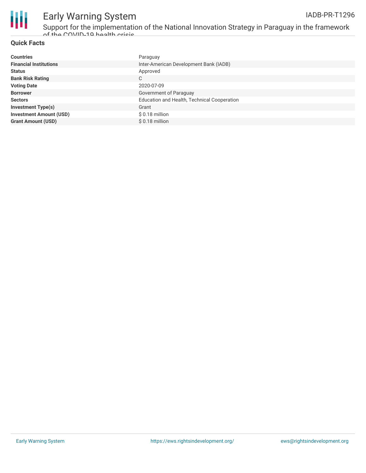



## Early Warning System

Support for the implementation of the National Innovation Strategy in Paraguay in the framework of the COVID-19 health crisis

### **Quick Facts**

| <b>Countries</b>               | Paraguay                                    |
|--------------------------------|---------------------------------------------|
| <b>Financial Institutions</b>  | Inter-American Development Bank (IADB)      |
| <b>Status</b>                  | Approved                                    |
| <b>Bank Risk Rating</b>        | C                                           |
| <b>Voting Date</b>             | 2020-07-09                                  |
| <b>Borrower</b>                | Government of Paraguay                      |
| <b>Sectors</b>                 | Education and Health, Technical Cooperation |
| <b>Investment Type(s)</b>      | Grant                                       |
| <b>Investment Amount (USD)</b> | $$0.18$ million                             |
| <b>Grant Amount (USD)</b>      | $$0.18$ million                             |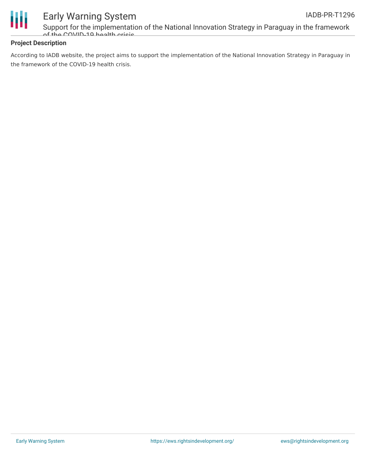

### Early Warning System

Support for the implementation of the National Innovation Strategy in Paraguay in the framework  $\alpha$ f the COVID-10 health crisis

### **Project Description**

According to IADB website, the project aims to support the implementation of the National Innovation Strategy in Paraguay in the framework of the COVID-19 health crisis.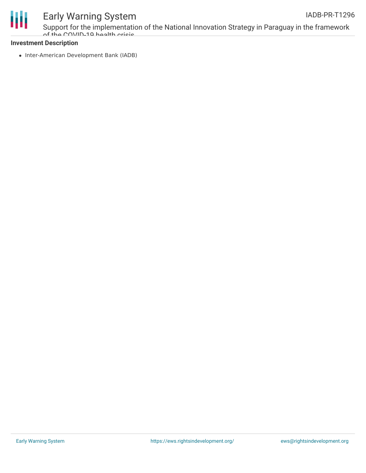

## Early Warning System

Support for the implementation of the National Innovation Strategy in Paraguay in the framework of the COVID-10 health cricic

#### **Investment Description**

• Inter-American Development Bank (IADB)